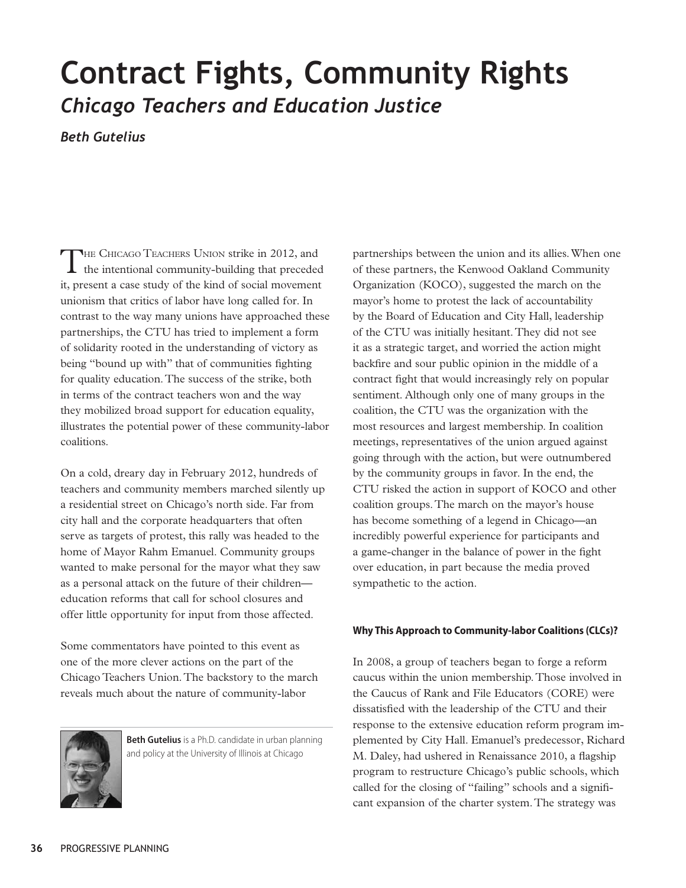# **Contract Fights, Community Rights** *Chicago Teachers and Education Justice*

*Beth Gutelius*

THE CHICAGO TEACHERS UNION strike in 2012, and<br>the intentional community-building that preceded it, present a case study of the kind of social movement unionism that critics of labor have long called for. In contrast to the way many unions have approached these partnerships, the CTU has tried to implement a form of solidarity rooted in the understanding of victory as being "bound up with" that of communities fighting for quality education. The success of the strike, both in terms of the contract teachers won and the way they mobilized broad support for education equality, illustrates the potential power of these community-labor coalitions.

On a cold, dreary day in February 2012, hundreds of teachers and community members marched silently up a residential street on Chicago's north side. Far from city hall and the corporate headquarters that often serve as targets of protest, this rally was headed to the home of Mayor Rahm Emanuel. Community groups wanted to make personal for the mayor what they saw as a personal attack on the future of their children education reforms that call for school closures and offer little opportunity for input from those affected.

Some commentators have pointed to this event as one of the more clever actions on the part of the Chicago Teachers Union. The backstory to the march reveals much about the nature of community-labor



**Beth Gutelius** is a Ph.D. candidate in urban planning and policy at the University of Illinois at Chicago

partnerships between the union and its allies. When one of these partners, the Kenwood Oakland Community Organization (KOCO), suggested the march on the mayor's home to protest the lack of accountability by the Board of Education and City Hall, leadership of the CTU was initially hesitant. They did not see it as a strategic target, and worried the action might backfire and sour public opinion in the middle of a contract fight that would increasingly rely on popular sentiment. Although only one of many groups in the coalition, the CTU was the organization with the most resources and largest membership. In coalition meetings, representatives of the union argued against going through with the action, but were outnumbered by the community groups in favor. In the end, the CTU risked the action in support of KOCO and other coalition groups. The march on the mayor's house has become something of a legend in Chicago—an incredibly powerful experience for participants and a game-changer in the balance of power in the fight over education, in part because the media proved sympathetic to the action.

## **Why This Approach to Community-labor Coalitions (CLCs)?**

In 2008, a group of teachers began to forge a reform caucus within the union membership. Those involved in the Caucus of Rank and File Educators (CORE) were dissatisfied with the leadership of the CTU and their response to the extensive education reform program implemented by City Hall. Emanuel's predecessor, Richard M. Daley, had ushered in Renaissance 2010, a flagship program to restructure Chicago's public schools, which called for the closing of "failing" schools and a significant expansion of the charter system. The strategy was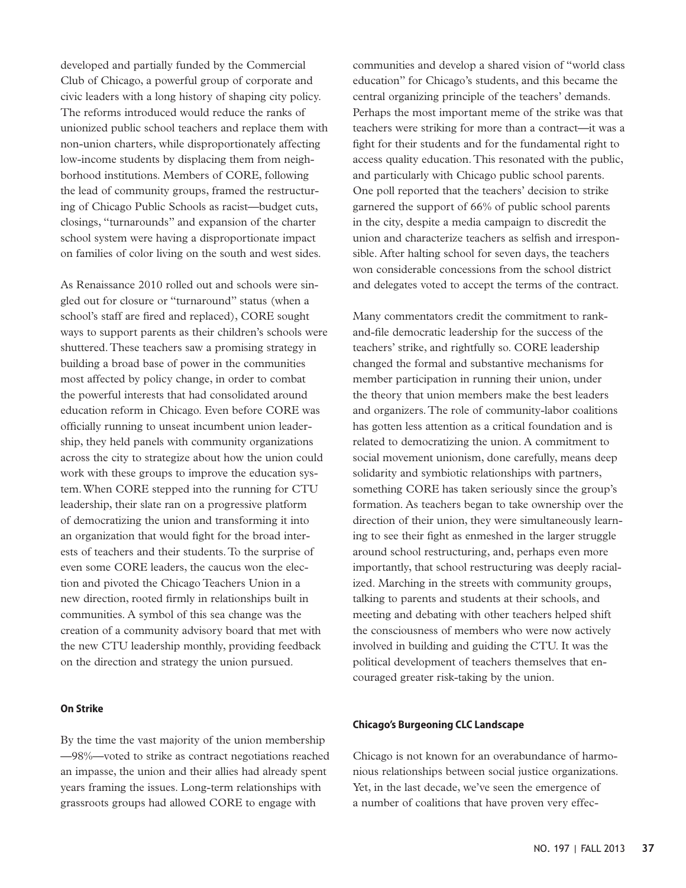developed and partially funded by the Commercial Club of Chicago, a powerful group of corporate and civic leaders with a long history of shaping city policy. The reforms introduced would reduce the ranks of unionized public school teachers and replace them with non-union charters, while disproportionately affecting low-income students by displacing them from neighborhood institutions. Members of CORE, following the lead of community groups, framed the restructuring of Chicago Public Schools as racist—budget cuts, closings, "turnarounds" and expansion of the charter school system were having a disproportionate impact on families of color living on the south and west sides.

As Renaissance 2010 rolled out and schools were singled out for closure or "turnaround" status (when a school's staff are fired and replaced), CORE sought ways to support parents as their children's schools were shuttered. These teachers saw a promising strategy in building a broad base of power in the communities most affected by policy change, in order to combat the powerful interests that had consolidated around education reform in Chicago. Even before CORE was officially running to unseat incumbent union leadership, they held panels with community organizations across the city to strategize about how the union could work with these groups to improve the education system. When CORE stepped into the running for CTU leadership, their slate ran on a progressive platform of democratizing the union and transforming it into an organization that would fight for the broad interests of teachers and their students. To the surprise of even some CORE leaders, the caucus won the election and pivoted the Chicago Teachers Union in a new direction, rooted firmly in relationships built in communities. A symbol of this sea change was the creation of a community advisory board that met with the new CTU leadership monthly, providing feedback on the direction and strategy the union pursued.

### **On Strike**

By the time the vast majority of the union membership —98%—voted to strike as contract negotiations reached an impasse, the union and their allies had already spent years framing the issues. Long-term relationships with grassroots groups had allowed CORE to engage with

communities and develop a shared vision of "world class education" for Chicago's students, and this became the central organizing principle of the teachers' demands. Perhaps the most important meme of the strike was that teachers were striking for more than a contract—it was a fight for their students and for the fundamental right to access quality education. This resonated with the public, and particularly with Chicago public school parents. One poll reported that the teachers' decision to strike garnered the support of 66% of public school parents in the city, despite a media campaign to discredit the union and characterize teachers as selfish and irresponsible. After halting school for seven days, the teachers won considerable concessions from the school district and delegates voted to accept the terms of the contract.

Many commentators credit the commitment to rankand-file democratic leadership for the success of the teachers' strike, and rightfully so. CORE leadership changed the formal and substantive mechanisms for member participation in running their union, under the theory that union members make the best leaders and organizers. The role of community-labor coalitions has gotten less attention as a critical foundation and is related to democratizing the union. A commitment to social movement unionism, done carefully, means deep solidarity and symbiotic relationships with partners, something CORE has taken seriously since the group's formation. As teachers began to take ownership over the direction of their union, they were simultaneously learning to see their fight as enmeshed in the larger struggle around school restructuring, and, perhaps even more importantly, that school restructuring was deeply racialized. Marching in the streets with community groups, talking to parents and students at their schools, and meeting and debating with other teachers helped shift the consciousness of members who were now actively involved in building and guiding the CTU. It was the political development of teachers themselves that encouraged greater risk-taking by the union.

### **Chicago's Burgeoning CLC Landscape**

Chicago is not known for an overabundance of harmonious relationships between social justice organizations. Yet, in the last decade, we've seen the emergence of a number of coalitions that have proven very effec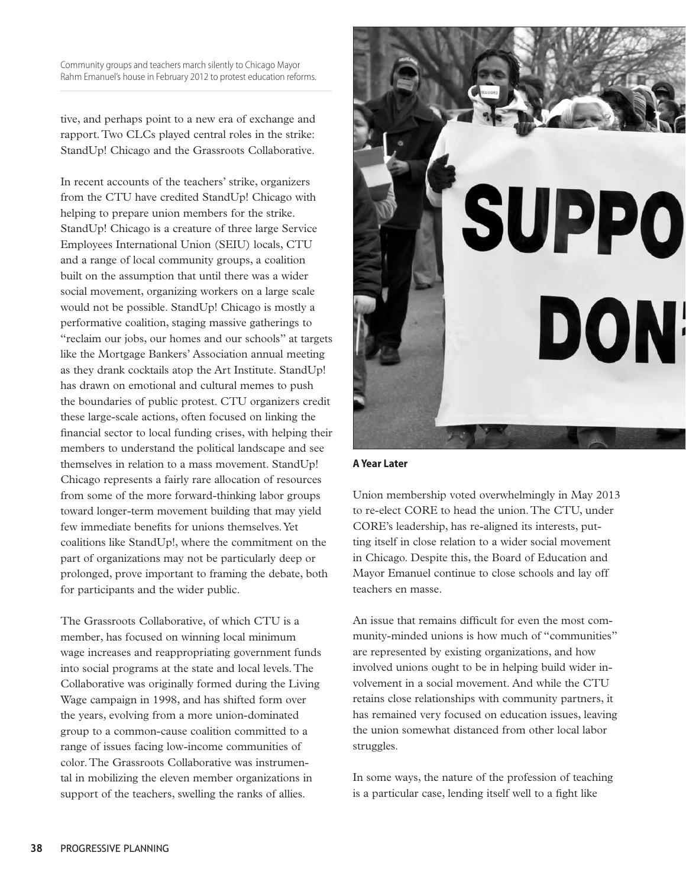Community groups and teachers march silently to Chicago Mayor Rahm Emanuel's house in February 2012 to protest education reforms.

tive, and perhaps point to a new era of exchange and rapport. Two CLCs played central roles in the strike: StandUp! Chicago and the Grassroots Collaborative.

In recent accounts of the teachers' strike, organizers from the CTU have credited StandUp! Chicago with helping to prepare union members for the strike. StandUp! Chicago is a creature of three large Service Employees International Union (SEIU) locals, CTU and a range of local community groups, a coalition built on the assumption that until there was a wider social movement, organizing workers on a large scale would not be possible. StandUp! Chicago is mostly a performative coalition, staging massive gatherings to "reclaim our jobs, our homes and our schools" at targets like the Mortgage Bankers' Association annual meeting as they drank cocktails atop the Art Institute. StandUp! has drawn on emotional and cultural memes to push the boundaries of public protest. CTU organizers credit these large-scale actions, often focused on linking the financial sector to local funding crises, with helping their members to understand the political landscape and see themselves in relation to a mass movement. StandUp! Chicago represents a fairly rare allocation of resources from some of the more forward-thinking labor groups toward longer-term movement building that may yield few immediate benefits for unions themselves. Yet coalitions like StandUp!, where the commitment on the part of organizations may not be particularly deep or prolonged, prove important to framing the debate, both for participants and the wider public.

The Grassroots Collaborative, of which CTU is a member, has focused on winning local minimum wage increases and reappropriating government funds into social programs at the state and local levels. The Collaborative was originally formed during the Living Wage campaign in 1998, and has shifted form over the years, evolving from a more union-dominated group to a common-cause coalition committed to a range of issues facing low-income communities of color. The Grassroots Collaborative was instrumental in mobilizing the eleven member organizations in support of the teachers, swelling the ranks of allies.



```
A Year Later
```
Union membership voted overwhelmingly in May 2013 to re-elect CORE to head the union. The CTU, under CORE's leadership, has re-aligned its interests, putting itself in close relation to a wider social movement in Chicago. Despite this, the Board of Education and Mayor Emanuel continue to close schools and lay off teachers en masse.

An issue that remains difficult for even the most community-minded unions is how much of "communities" are represented by existing organizations, and how involved unions ought to be in helping build wider involvement in a social movement. And while the CTU retains close relationships with community partners, it has remained very focused on education issues, leaving the union somewhat distanced from other local labor struggles.

In some ways, the nature of the profession of teaching is a particular case, lending itself well to a fight like